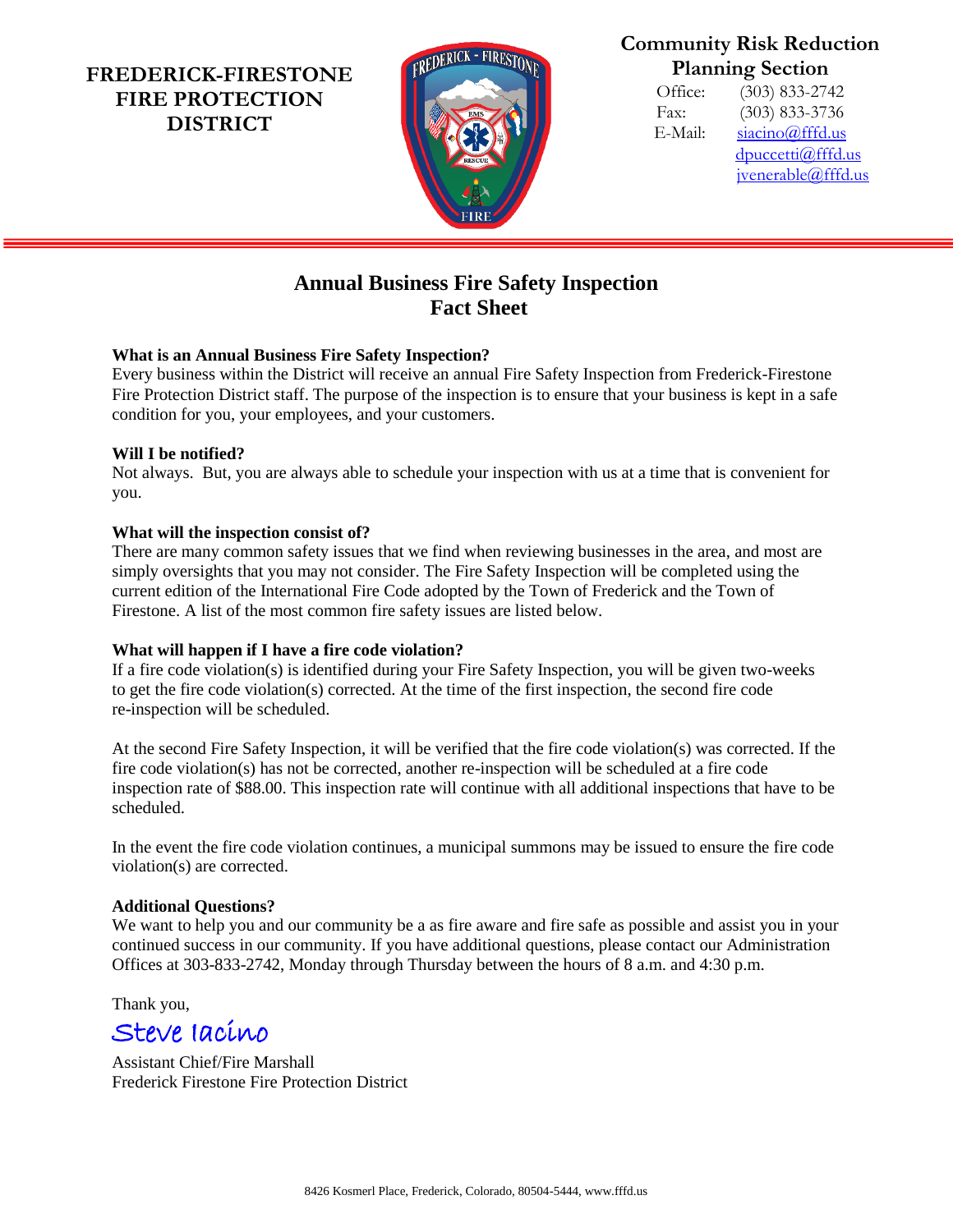**FREDERICK-FIRESTONE FIRE PROTECTION DISTRICT**



# **Community Risk Reduction Planning Section**

Office: (303) 833-2742 Fax: (303) 833-3736 E-Mail: [siacino@fffd.us](mailto:siacino@fffd.us) [dpuccetti@fffd.us](mailto:dpuccetti@fffd.us) [jvenerable@fffd.us](mailto:jvenerable@fffd.us)

# **Annual Business Fire Safety Inspection Fact Sheet**

#### **What is an Annual Business Fire Safety Inspection?**

Every business within the District will receive an annual Fire Safety Inspection from Frederick-Firestone Fire Protection District staff. The purpose of the inspection is to ensure that your business is kept in a safe condition for you, your employees, and your customers.

#### **Will I be notified?**

Not always. But, you are always able to schedule your inspection with us at a time that is convenient for you.

#### **What will the inspection consist of?**

There are many common safety issues that we find when reviewing businesses in the area, and most are simply oversights that you may not consider. The Fire Safety Inspection will be completed using the current edition of the International Fire Code adopted by the Town of Frederick and the Town of Firestone. A list of the most common fire safety issues are listed below.

## **What will happen if I have a fire code violation?**

If a fire code violation(s) is identified during your Fire Safety Inspection, you will be given two-weeks to get the fire code violation(s) corrected. At the time of the first inspection, the second fire code re-inspection will be scheduled.

At the second Fire Safety Inspection, it will be verified that the fire code violation(s) was corrected. If the fire code violation(s) has not be corrected, another re-inspection will be scheduled at a fire code inspection rate of \$88.00. This inspection rate will continue with all additional inspections that have to be scheduled.

In the event the fire code violation continues, a municipal summons may be issued to ensure the fire code violation(s) are corrected.

## **Additional Questions?**

We want to help you and our community be a as fire aware and fire safe as possible and assist you in your continued success in our community. If you have additional questions, please contact our Administration Offices at 303-833-2742, Monday through Thursday between the hours of 8 a.m. and 4:30 p.m.

Thank you,

Steve Iacino

Assistant Chief/Fire Marshall Frederick Firestone Fire Protection District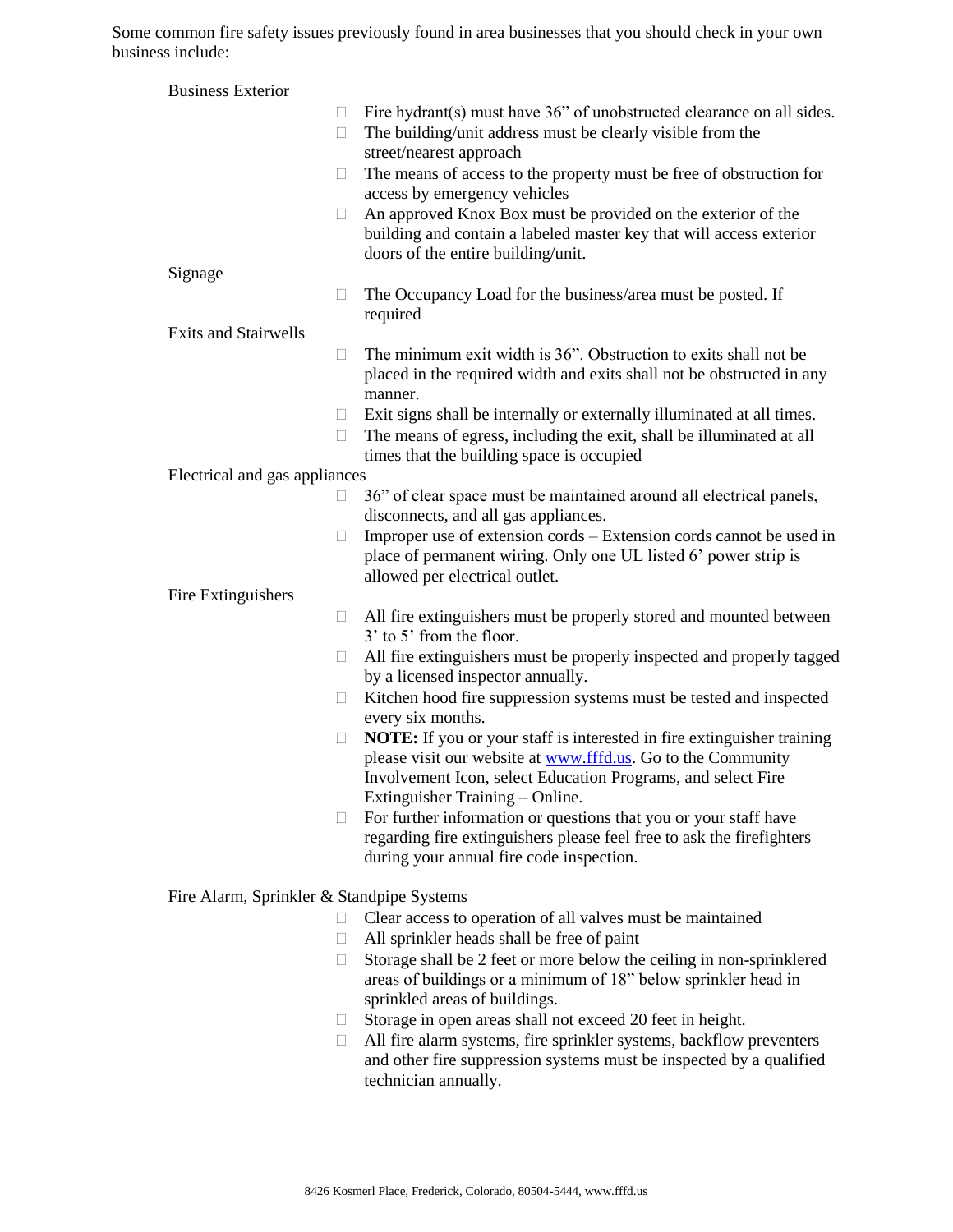Some common fire safety issues previously found in area businesses that you should check in your own business include:

| <b>Business Exterior</b>                                                   |                                                                                                                                                      |
|----------------------------------------------------------------------------|------------------------------------------------------------------------------------------------------------------------------------------------------|
|                                                                            | Fire hydrant(s) must have 36" of unobstructed clearance on all sides.<br>$\Box$                                                                      |
|                                                                            | The building/unit address must be clearly visible from the<br>$\Box$                                                                                 |
|                                                                            | street/nearest approach                                                                                                                              |
|                                                                            | The means of access to the property must be free of obstruction for<br>$\Box$<br>access by emergency vehicles                                        |
|                                                                            | An approved Knox Box must be provided on the exterior of the<br>$\Box$                                                                               |
|                                                                            | building and contain a labeled master key that will access exterior                                                                                  |
|                                                                            | doors of the entire building/unit.                                                                                                                   |
| Signage                                                                    |                                                                                                                                                      |
|                                                                            | The Occupancy Load for the business/area must be posted. If<br>$\Box$<br>required                                                                    |
| <b>Exits and Stairwells</b>                                                |                                                                                                                                                      |
|                                                                            | The minimum exit width is 36". Obstruction to exits shall not be<br>$\Box$                                                                           |
|                                                                            | placed in the required width and exits shall not be obstructed in any                                                                                |
|                                                                            | manner.                                                                                                                                              |
|                                                                            | Exit signs shall be internally or externally illuminated at all times.<br>$\Box$                                                                     |
|                                                                            | The means of egress, including the exit, shall be illuminated at all<br>$\Box$                                                                       |
| times that the building space is occupied<br>Electrical and gas appliances |                                                                                                                                                      |
|                                                                            | 36" of clear space must be maintained around all electrical panels,<br>$\Box$                                                                        |
|                                                                            | disconnects, and all gas appliances.                                                                                                                 |
|                                                                            | Improper use of extension cords - Extension cords cannot be used in<br>$\Box$                                                                        |
|                                                                            | place of permanent wiring. Only one UL listed 6' power strip is                                                                                      |
|                                                                            | allowed per electrical outlet.                                                                                                                       |
| Fire Extinguishers                                                         | All fire extinguishers must be properly stored and mounted between<br>$\Box$                                                                         |
|                                                                            | 3' to 5' from the floor.                                                                                                                             |
|                                                                            | All fire extinguishers must be properly inspected and properly tagged<br>$\Box$                                                                      |
|                                                                            | by a licensed inspector annually.                                                                                                                    |
|                                                                            | Kitchen hood fire suppression systems must be tested and inspected<br>$\Box$                                                                         |
|                                                                            | every six months.                                                                                                                                    |
|                                                                            | <b>NOTE:</b> If you or your staff is interested in fire extinguisher training<br>$\Box$                                                              |
|                                                                            | please visit our website at www.fffd.us. Go to the Community<br>Involvement Icon, select Education Programs, and select Fire                         |
|                                                                            | Extinguisher Training - Online.                                                                                                                      |
|                                                                            | For further information or questions that you or your staff have<br>$\Box$                                                                           |
|                                                                            | regarding fire extinguishers please feel free to ask the firefighters                                                                                |
|                                                                            | during your annual fire code inspection.                                                                                                             |
| Fire Alarm, Sprinkler & Standpipe Systems                                  |                                                                                                                                                      |
|                                                                            | Clear access to operation of all valves must be maintained<br>$\Box$                                                                                 |
|                                                                            | All sprinkler heads shall be free of paint<br>$\Box$                                                                                                 |
|                                                                            | Storage shall be 2 feet or more below the ceiling in non-sprinklered<br>$\Box$                                                                       |
|                                                                            | areas of buildings or a minimum of 18" below sprinkler head in                                                                                       |
|                                                                            | sprinkled areas of buildings.                                                                                                                        |
|                                                                            | Storage in open areas shall not exceed 20 feet in height.<br>u.                                                                                      |
|                                                                            | All fire alarm systems, fire sprinkler systems, backflow preventers<br>$\Box$<br>and other fire suppression systems must be inspected by a qualified |
|                                                                            | technician annually.                                                                                                                                 |
|                                                                            |                                                                                                                                                      |